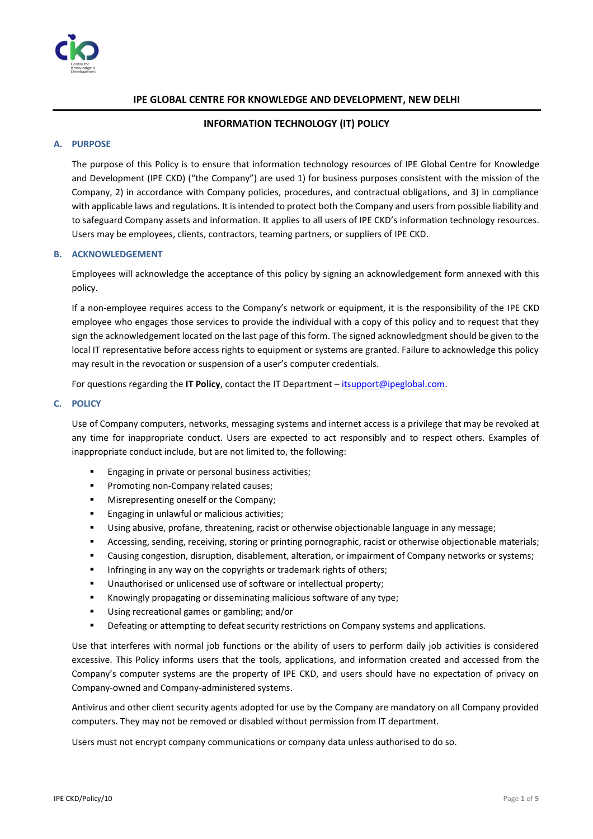

# **IPE GLOBAL CENTRE FOR KNOWLEDGE AND DEVELOPMENT, NEW DELHI**

## **INFORMATION TECHNOLOGY (IT) POLICY**

## **A. PURPOSE**

The purpose of this Policy is to ensure that information technology resources of IPE Global Centre for Knowledge and Development (IPE CKD) ("the Company") are used 1) for business purposes consistent with the mission of the Company, 2) in accordance with Company policies, procedures, and contractual obligations, and 3) in compliance with applicable laws and regulations. It is intended to protect both the Company and users from possible liability and to safeguard Company assets and information. It applies to all users of IPE CKD's information technology resources. Users may be employees, clients, contractors, teaming partners, or suppliers of IPE CKD.

#### **B. ACKNOWLEDGEMENT**

Employees will acknowledge the acceptance of this policy by signing an acknowledgement form annexed with this policy.

If a non-employee requires access to the Company's network or equipment, it is the responsibility of the IPE CKD employee who engages those services to provide the individual with a copy of this policy and to request that they sign the acknowledgement located on the last page of this form. The signed acknowledgment should be given to the local IT representative before access rights to equipment or systems are granted. Failure to acknowledge this policy may result in the revocation or suspension of a user's computer credentials.

For questions regarding the **IT Policy**, contact the IT Department – [itsupport@ipeglobal.com.](mailto:itsupport@ipeglobal.com) 

# **C. POLICY**

Use of Company computers, networks, messaging systems and internet access is a privilege that may be revoked at any time for inappropriate conduct. Users are expected to act responsibly and to respect others. Examples of inappropriate conduct include, but are not limited to, the following:

- Engaging in private or personal business activities;
- Promoting non-Company related causes;
- Misrepresenting oneself or the Company;
- **Engaging in unlawful or malicious activities;**
- Using abusive, profane, threatening, racist or otherwise objectionable language in any message;
- Accessing, sending, receiving, storing or printing pornographic, racist or otherwise objectionable materials;
- Causing congestion, disruption, disablement, alteration, or impairment of Company networks or systems;
- **■** Infringing in any way on the copyrights or trademark rights of others;
- Unauthorised or unlicensed use of software or intellectual property;
- Knowingly propagating or disseminating malicious software of any type;
- Using recreational games or gambling; and/or
- Defeating or attempting to defeat security restrictions on Company systems and applications.

Use that interferes with normal job functions or the ability of users to perform daily job activities is considered excessive. This Policy informs users that the tools, applications, and information created and accessed from the Company's computer systems are the property of IPE CKD, and users should have no expectation of privacy on Company-owned and Company-administered systems.

Antivirus and other client security agents adopted for use by the Company are mandatory on all Company provided computers. They may not be removed or disabled without permission from IT department.

Users must not encrypt company communications or company data unless authorised to do so.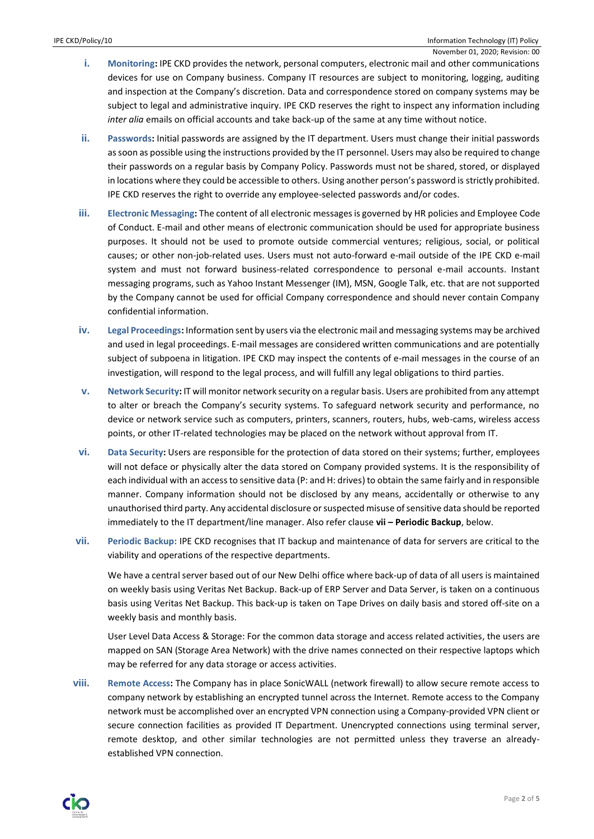- **i. Monitoring:** IPE CKD provides the network, personal computers, electronic mail and other communications devices for use on Company business. Company IT resources are subject to monitoring, logging, auditing and inspection at the Company's discretion. Data and correspondence stored on company systems may be subject to legal and administrative inquiry. IPE CKD reserves the right to inspect any information including *inter alia* emails on official accounts and take back-up of the same at any time without notice.
- **ii. Passwords:** Initial passwords are assigned by the IT department. Users must change their initial passwords as soon as possible using the instructions provided by the IT personnel. Users may also be required to change their passwords on a regular basis by Company Policy. Passwords must not be shared, stored, or displayed in locations where they could be accessible to others. Using another person's password is strictly prohibited. IPE CKD reserves the right to override any employee-selected passwords and/or codes.
- **iii. Electronic Messaging:** The content of all electronic messages is governed by HR policies and Employee Code of Conduct. E-mail and other means of electronic communication should be used for appropriate business purposes. It should not be used to promote outside commercial ventures; religious, social, or political causes; or other non-job-related uses. Users must not auto-forward e-mail outside of the IPE CKD e-mail system and must not forward business-related correspondence to personal e-mail accounts. Instant messaging programs, such as Yahoo Instant Messenger (IM), MSN, Google Talk, etc. that are not supported by the Company cannot be used for official Company correspondence and should never contain Company confidential information.
- **iv. Legal Proceedings:** Information sent by users via the electronic mail and messaging systems may be archived and used in legal proceedings. E-mail messages are considered written communications and are potentially subject of subpoena in litigation. IPE CKD may inspect the contents of e-mail messages in the course of an investigation, will respond to the legal process, and will fulfill any legal obligations to third parties.
- **v. Network Security:** IT will monitor network security on a regular basis. Users are prohibited from any attempt to alter or breach the Company's security systems. To safeguard network security and performance, no device or network service such as computers, printers, scanners, routers, hubs, web-cams, wireless access points, or other IT-related technologies may be placed on the network without approval from IT.
- **vi. Data Security:** Users are responsible for the protection of data stored on their systems; further, employees will not deface or physically alter the data stored on Company provided systems. It is the responsibility of each individual with an access to sensitive data (P: and H: drives) to obtain the same fairly and in responsible manner. Company information should not be disclosed by any means, accidentally or otherwise to any unauthorised third party. Any accidental disclosure or suspected misuse of sensitive data should be reported immediately to the IT department/line manager. Also refer clause **vii – Periodic Backup**, below.
- **vii. Periodic Backup:** IPE CKD recognises that IT backup and maintenance of data for servers are critical to the viability and operations of the respective departments.

We have a central server based out of our New Delhi office where back-up of data of all users is maintained on weekly basis using Veritas Net Backup. Back-up of ERP Server and Data Server, is taken on a continuous basis using Veritas Net Backup. This back-up is taken on Tape Drives on daily basis and stored off-site on a weekly basis and monthly basis.

User Level Data Access & Storage: For the common data storage and access related activities, the users are mapped on SAN (Storage Area Network) with the drive names connected on their respective laptops which may be referred for any data storage or access activities.

**viii. Remote Access:** The Company has in place SonicWALL (network firewall) to allow secure remote access to company network by establishing an encrypted tunnel across the Internet. Remote access to the Company network must be accomplished over an encrypted VPN connection using a Company-provided VPN client or secure connection facilities as provided IT Department. Unencrypted connections using terminal server, remote desktop, and other similar technologies are not permitted unless they traverse an alreadyestablished VPN connection.

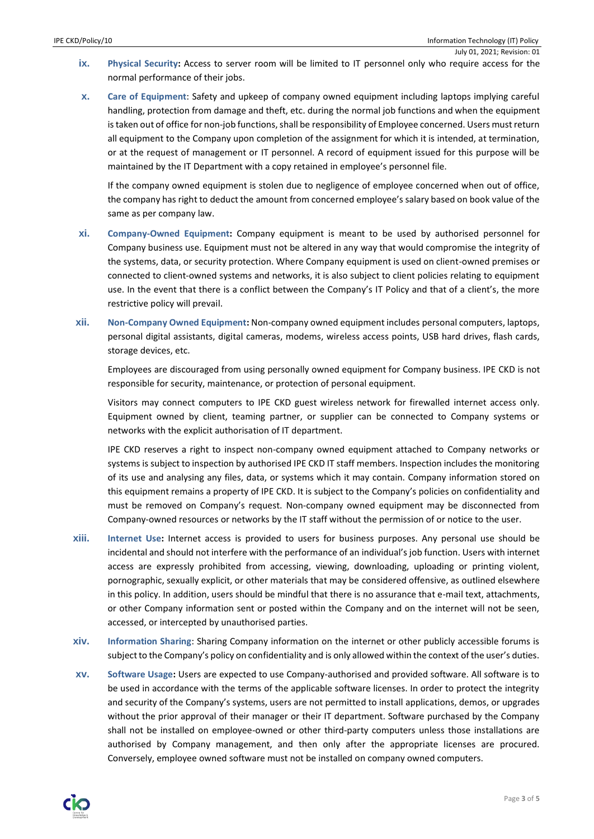- July 01, 2021; Revision: 01 **ix.** Physical Security: Access to server room will be limited to IT personnel only who require access for the normal performance of their jobs.
- **x. Care of Equipment**: Safety and upkeep of company owned equipment including laptops implying careful handling, protection from damage and theft, etc. during the normal job functions and when the equipment is taken out of office for non-job functions, shall be responsibility of Employee concerned. Users must return all equipment to the Company upon completion of the assignment for which it is intended, at termination, or at the request of management or IT personnel. A record of equipment issued for this purpose will be maintained by the IT Department with a copy retained in employee's personnel file.

If the company owned equipment is stolen due to negligence of employee concerned when out of office, the company has right to deduct the amount from concerned employee's salary based on book value of the same as per company law.

- **xi. Company-Owned Equipment:** Company equipment is meant to be used by authorised personnel for Company business use. Equipment must not be altered in any way that would compromise the integrity of the systems, data, or security protection. Where Company equipment is used on client-owned premises or connected to client-owned systems and networks, it is also subject to client policies relating to equipment use. In the event that there is a conflict between the Company's IT Policy and that of a client's, the more restrictive policy will prevail.
- **xii. Non-Company Owned Equipment:** Non-company owned equipment includes personal computers, laptops, personal digital assistants, digital cameras, modems, wireless access points, USB hard drives, flash cards, storage devices, etc.

Employees are discouraged from using personally owned equipment for Company business. IPE CKD is not responsible for security, maintenance, or protection of personal equipment.

Visitors may connect computers to IPE CKD guest wireless network for firewalled internet access only. Equipment owned by client, teaming partner, or supplier can be connected to Company systems or networks with the explicit authorisation of IT department.

IPE CKD reserves a right to inspect non-company owned equipment attached to Company networks or systems is subject to inspection by authorised IPE CKD IT staff members. Inspection includes the monitoring of its use and analysing any files, data, or systems which it may contain. Company information stored on this equipment remains a property of IPE CKD. It is subject to the Company's policies on confidentiality and must be removed on Company's request. Non-company owned equipment may be disconnected from Company-owned resources or networks by the IT staff without the permission of or notice to the user.

- **xiii. Internet Use:** Internet access is provided to users for business purposes. Any personal use should be incidental and should not interfere with the performance of an individual's job function. Users with internet access are expressly prohibited from accessing, viewing, downloading, uploading or printing violent, pornographic, sexually explicit, or other materials that may be considered offensive, as outlined elsewhere in this policy. In addition, users should be mindful that there is no assurance that e-mail text, attachments, or other Company information sent or posted within the Company and on the internet will not be seen, accessed, or intercepted by unauthorised parties.
- **xiv. Information Sharing**: Sharing Company information on the internet or other publicly accessible forums is subject to the Company's policy on confidentiality and is only allowed within the context of the user's duties.
- **xv. Software Usage:** Users are expected to use Company-authorised and provided software. All software is to be used in accordance with the terms of the applicable software licenses. In order to protect the integrity and security of the Company's systems, users are not permitted to install applications, demos, or upgrades without the prior approval of their manager or their IT department. Software purchased by the Company shall not be installed on employee-owned or other third-party computers unless those installations are authorised by Company management, and then only after the appropriate licenses are procured. Conversely, employee owned software must not be installed on company owned computers.

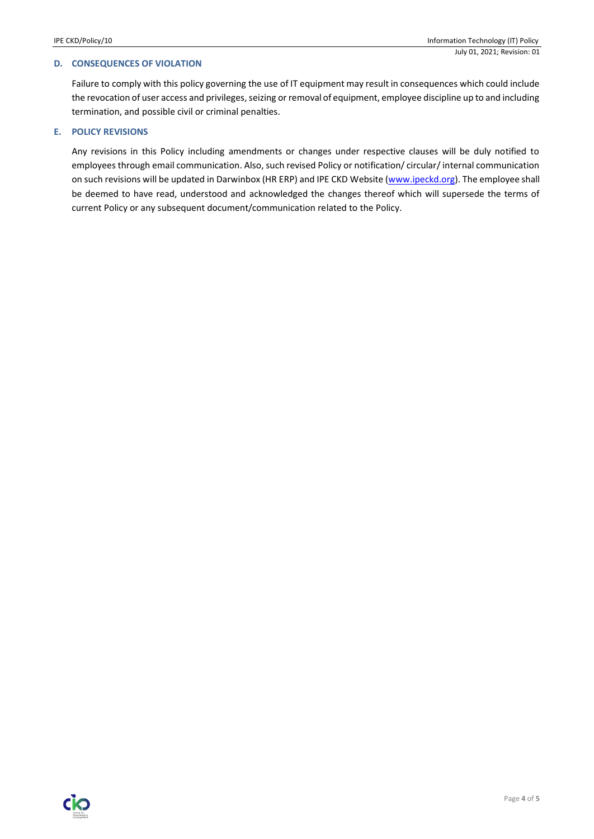# **D. CONSEQUENCES OF VIOLATION**

Failure to comply with this policy governing the use of IT equipment may result in consequences which could include the revocation of user access and privileges, seizing or removal of equipment, employee discipline up to and including termination, and possible civil or criminal penalties.

# **E. POLICY REVISIONS**

Any revisions in this Policy including amendments or changes under respective clauses will be duly notified to employees through email communication. Also, such revised Policy or notification/ circular/ internal communication on such revisions will be updated in Darwinbox (HR ERP) and IPE CKD Website [\(www.ipeckd.org\)](http://www.ipeckd.org/). The employee shall be deemed to have read, understood and acknowledged the changes thereof which will supersede the terms of current Policy or any subsequent document/communication related to the Policy.